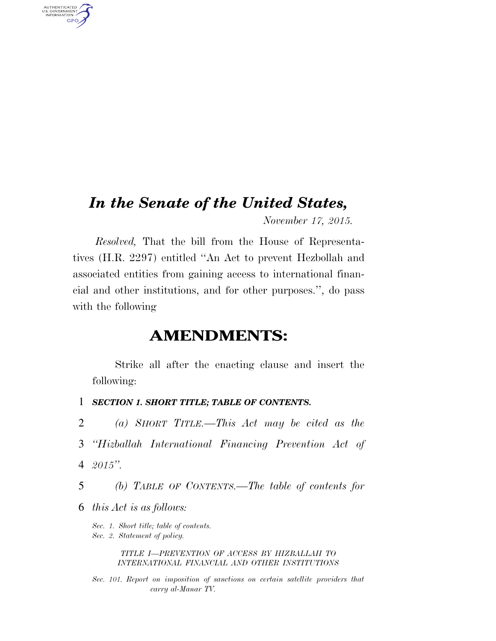## *In the Senate of the United States,*

*November 17, 2015.* 

*Resolved,* That the bill from the House of Representatives (H.R. 2297) entitled ''An Act to prevent Hezbollah and associated entities from gaining access to international financial and other institutions, and for other purposes.'', do pass with the following

### **AMENDMENTS:**

Strike all after the enacting clause and insert the following:

- 1 *SECTION 1. SHORT TITLE; TABLE OF CONTENTS.*
- 2 *(a) SHORT TITLE.—This Act may be cited as the*
- 3 *''Hizballah International Financing Prevention Act of*  4 *2015''.*
- 5 *(b) TABLE OF CONTENTS.—The table of contents for*
- 6 *this Act is as follows:*

AUTHENTICATED<br>U.S. GOVERNMENT<br>INFORMATION **GPO** 

> *Sec. 1. Short title; table of contents. Sec. 2. Statement of policy.*

> > *TITLE I—PREVENTION OF ACCESS BY HIZBALLAH TO INTERNATIONAL FINANCIAL AND OTHER INSTITUTIONS*

*Sec. 101. Report on imposition of sanctions on certain satellite providers that carry al-Manar TV.*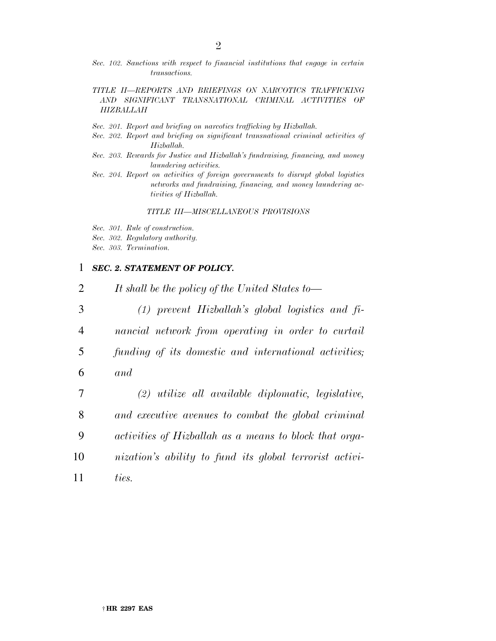- *Sec. 102. Sanctions with respect to financial institutions that engage in certain transactions.*
- *TITLE II—REPORTS AND BRIEFINGS ON NARCOTICS TRAFFICKING AND SIGNIFICANT TRANSNATIONAL CRIMINAL ACTIVITIES OF HIZBALLAH*
- *Sec. 201. Report and briefing on narcotics trafficking by Hizballah.*
- *Sec. 202. Report and briefing on significant transnational criminal activities of Hizballah.*
- *Sec. 203. Rewards for Justice and Hizballah's fundraising, financing, and money laundering activities.*
- *Sec. 204. Report on activities of foreign governments to disrupt global logistics networks and fundraising, financing, and money laundering activities of Hizballah.*

#### *TITLE III—MISCELLANEOUS PROVISIONS*

- *Sec. 301. Rule of construction.*
- *Sec. 302. Regulatory authority.*
- *Sec. 303. Termination.*

#### 1 *SEC. 2. STATEMENT OF POLICY.*

 *It shall be the policy of the United States to— (1) prevent Hizballah's global logistics and fi- nancial network from operating in order to curtail funding of its domestic and international activities;*  6 *and (2) utilize all available diplomatic, legislative, and executive avenues to combat the global criminal activities of Hizballah as a means to block that orga- nization's ability to fund its global terrorist activi-*11 *ties.*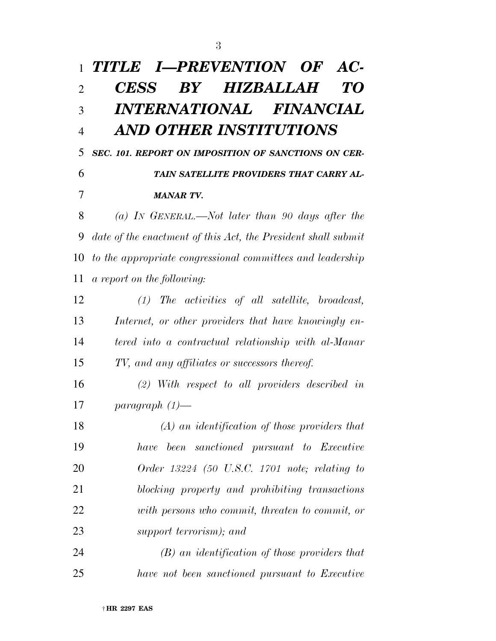| 1              | TITLE I-PREVENTION OF AC-                                     |
|----------------|---------------------------------------------------------------|
| $\overline{2}$ | BY HIZBALLAH<br><b>CESS</b><br>TO                             |
| 3              | INTERNATIONAL FINANCIAL                                       |
| $\overline{4}$ | AND OTHER INSTITUTIONS                                        |
| 5              | SEC. 101. REPORT ON IMPOSITION OF SANCTIONS ON CER-           |
| 6              | TAIN SATELLITE PROVIDERS THAT CARRY AL-                       |
| 7              | <b>MANAR TV.</b>                                              |
| 8              | (a) In GENERAL.—Not later than 90 days after the              |
| 9              | date of the enactment of this Act, the President shall submit |
| 10             | to the appropriate congressional committees and leadership    |
| 11             | a report on the following:                                    |
| 12             | $(1)$ The activities of all satellite, broadcast,             |
| 13             | Internet, or other providers that have knowingly en-          |
| 14             | tered into a contractual relationship with al-Manar           |
| 15             | TV, and any affiliates or successors thereof.                 |
| 16             | $(2)$ With respect to all providers described in              |
| 17             | paragraph $(1)$ —                                             |
| 18             | $(A)$ an identification of those providers that               |
| 19             | have been sanctioned pursuant to Executive                    |
| 20             | Order $13224$ (50 U.S.C. 1701 note; relating to               |
| 21             | blocking property and prohibiting transactions                |
| 22             | with persons who commit, threaten to commit, or               |
| 23             | support terrorism); and                                       |
| 24             | $(B)$ an identification of those providers that               |

*have not been sanctioned pursuant to Executive*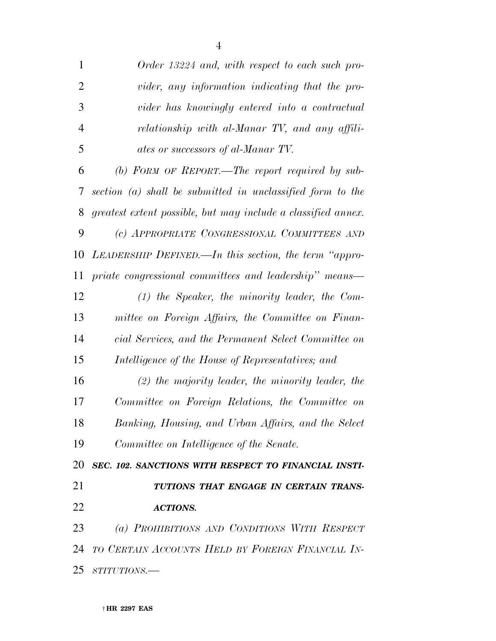| $\mathbf{1}$   | Order 13224 and, with respect to each such pro-               |
|----------------|---------------------------------------------------------------|
| $\overline{2}$ | vider, any information indicating that the pro-               |
| 3              | vider has knowingly entered into a contractual                |
| $\overline{4}$ | relationship with al-Manar TV, and any affili-                |
| 5              | ates or successors of al-Manar TV.                            |
| 6              | (b) FORM OF REPORT.—The report required by sub-               |
| 7              | section $(a)$ shall be submitted in unclassified form to the  |
| 8              | greatest extent possible, but may include a classified annex. |
| 9              | (c) APPROPRIATE CONGRESSIONAL COMMITTEES AND                  |
| 10             | LEADERSHIP DEFINED.—In this section, the term "appro-         |
| 11             | priate congressional committees and leadership" means—        |
| 12             | $(1)$ the Speaker, the minority leader, the Com-              |
| 13             | mittee on Foreign Affairs, the Committee on Finan-            |
| 14             | cial Services, and the Permanent Select Committee on          |
| 15             | Intelligence of the House of Representatives; and             |
| 16             | $(2)$ the majority leader, the minority leader, the           |
| 17             | Committee on Foreign Relations, the Committee on              |
| 18             | Banking, Housing, and Urban Affairs, and the Select           |
| 19             | Committee on Intelligence of the Senate.                      |
| 20             | SEC. 102. SANCTIONS WITH RESPECT TO FINANCIAL INSTI-          |
| 21             | TUTIONS THAT ENGAGE IN CERTAIN TRANS-                         |
| 22             | <b>ACTIONS.</b>                                               |
| 23             | (a) PROHIBITIONS AND CONDITIONS WITH RESPECT                  |
| 24             | TO CERTAIN ACCOUNTS HELD BY FOREIGN FINANCIAL IN-             |
| 25             | $STITUTIONS$ .                                                |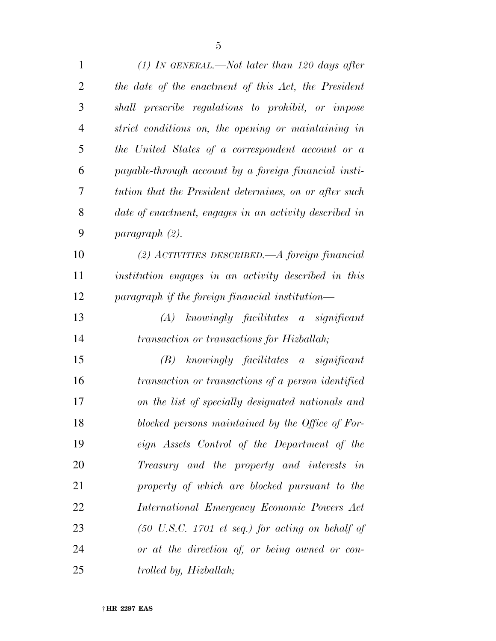*(1) IN GENERAL.—Not later than 120 days after the date of the enactment of this Act, the President shall prescribe regulations to prohibit, or impose strict conditions on, the opening or maintaining in the United States of a correspondent account or a payable-through account by a foreign financial insti- tution that the President determines, on or after such date of enactment, engages in an activity described in paragraph (2). (2) ACTIVITIES DESCRIBED.—A foreign financial institution engages in an activity described in this paragraph if the foreign financial institution— (A) knowingly facilitates a significant transaction or transactions for Hizballah; (B) knowingly facilitates a significant transaction or transactions of a person identified on the list of specially designated nationals and blocked persons maintained by the Office of For- eign Assets Control of the Department of the Treasury and the property and interests in property of which are blocked pursuant to the International Emergency Economic Powers Act* 

 *(50 U.S.C. 1701 et seq.) for acting on behalf of or at the direction of, or being owned or con-trolled by, Hizballah;*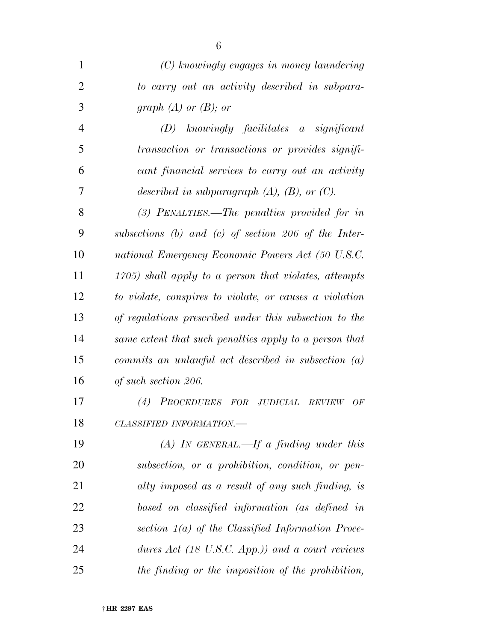| $\mathbf{1}$   | (C) knowingly engages in money laundering               |
|----------------|---------------------------------------------------------|
| $\overline{2}$ | to carry out an activity described in subpara-          |
| 3              | graph $(A)$ or $(B)$ ; or                               |
| $\overline{4}$ | $(D)$ knowingly facilitates a significant               |
| 5              | transaction or transactions or provides signifi-        |
| 6              | cant financial services to carry out an activity        |
| 7              | described in subparagraph $(A)$ , $(B)$ , or $(C)$ .    |
| 8              | $(3)$ PENALTIES.—The penalties provided for in          |
| 9              | subsections (b) and (c) of section 206 of the Inter-    |
| 10             | national Emergency Economic Powers Act (50 U.S.C.       |
| 11             | 1705) shall apply to a person that violates, attempts   |
| 12             | to violate, conspires to violate, or causes a violation |
| 13             | of regulations prescribed under this subsection to the  |
| 14             | same extent that such penalties apply to a person that  |
| 15             | commits an unlawful act described in subsection $(a)$   |
| 16             | of such section 206.                                    |
| 17             | PROCEDURES FOR JUDICIAL<br>(4)<br><b>REVIEW</b><br>OF   |
| 18             | CLASSIFIED INFORMATION.-                                |
| 19             | $(A)$ IN GENERAL.—If a finding under this               |
| 20             | subsection, or a prohibition, condition, or pen-        |
| 21             | alty imposed as a result of any such finding, is        |
| 22             | based on classified information (as defined in          |
| 23             | section $1(a)$ of the Classified Information Proce-     |
| 24             | dures Act (18 U.S.C. App.)) and a court reviews         |
| 25             | the finding or the imposition of the prohibition,       |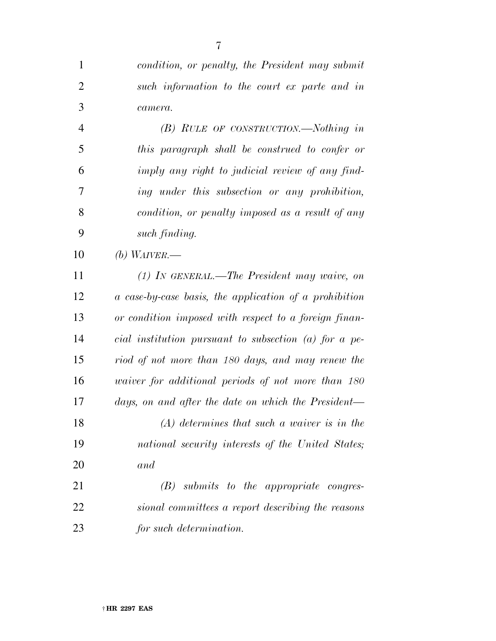| $\mathbf{1}$   | condition, or penalty, the President may submit         |
|----------------|---------------------------------------------------------|
| $\overline{2}$ | such information to the court ex parte and in           |
| 3              | camera.                                                 |
| $\overline{4}$ | $(B)$ RULE OF CONSTRUCTION.—Nothing in                  |
| 5              | this paragraph shall be construed to confer or          |
| 6              | imply any right to judicial review of any find-         |
| 7              | ing under this subsection or any prohibition,           |
| 8              | condition, or penalty imposed as a result of any        |
| 9              | such finding.                                           |
| 10             | (b) WAIVER.—                                            |
| 11             | $(1)$ In GENERAL.—The President may waive, on           |
| 12             | a case-by-case basis, the application of a prohibition  |
| 13             | or condition imposed with respect to a foreign finan-   |
| 14             | cial institution pursuant to subsection $(a)$ for a pe- |
| 15             | riod of not more than 180 days, and may renew the       |
| 16             | waiver for additional periods of not more than 180      |
| 17             | days, on and after the date on which the President—     |
| 18             | $(A)$ determines that such a waiver is in the           |
| 19             | national security interests of the United States;       |
| 20             | and                                                     |
| 21             | $(B)$ submits to the appropriate congres-               |
| 22             | sional committees a report describing the reasons       |

*for such determination.*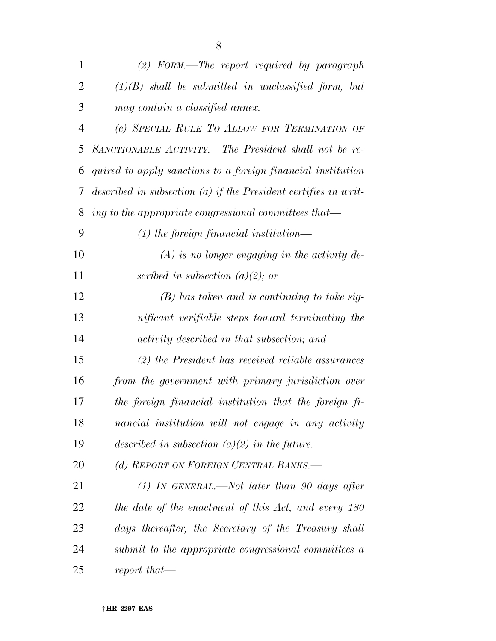| 1              | $(2)$ FORM.—The report required by paragraph                      |
|----------------|-------------------------------------------------------------------|
| 2              | $(1)(B)$ shall be submitted in unclassified form, but             |
| 3              | may contain a classified annex.                                   |
| $\overline{4}$ | (c) SPECIAL RULE TO ALLOW FOR TERMINATION OF                      |
| 5              | SANCTIONABLE ACTIVITY.—The President shall not be re-             |
| 6              | quired to apply sanctions to a foreign financial institution      |
| 7              | described in subsection $(a)$ if the President certifies in writ- |
| 8              | ing to the appropriate congressional committees that—             |
| 9              | $(1)$ the foreign financial institution—                          |
| 10             | $(A)$ is no longer engaging in the activity de-                   |
| 11             | scribed in subsection (a)(2); or                                  |
| 12             | $(B)$ has taken and is continuing to take sig-                    |
| 13             | nificant verifiable steps toward terminating the                  |
| 14             | activity described in that subsection; and                        |
| 15             | $(2)$ the President has received reliable assurances              |
| 16             | from the government with primary jurisdiction over                |
| 17             | the foreign financial institution that the foreign fi-            |
| 18             | nancial institution will not engage in any activity               |
| 19             | described in subsection $(a)(2)$ in the future.                   |
| 20             | (d) REPORT ON FOREIGN CENTRAL BANKS.-                             |
| 21             | $(1)$ IN GENERAL.—Not later than 90 days after                    |
| 22             | the date of the enactment of this Act, and every 180              |
| 23             | days thereafter, the Secretary of the Treasury shall              |
| 24             | submit to the appropriate congressional committees a              |
| 25             | report that—                                                      |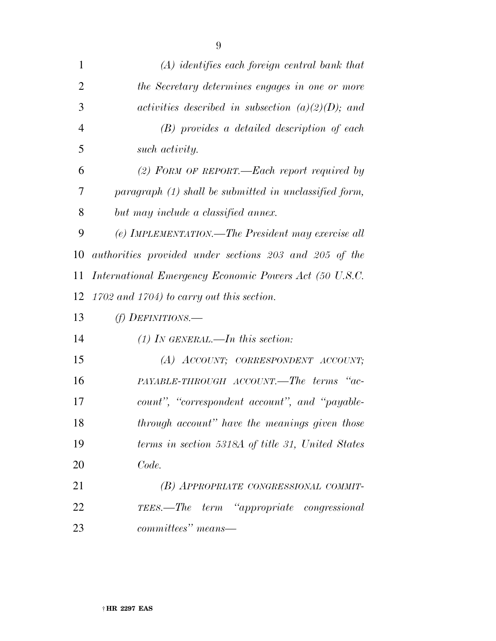| $\mathbf{1}$   | $(A)$ identifies each foreign central bank that        |
|----------------|--------------------------------------------------------|
| $\overline{2}$ | the Secretary determines engages in one or more        |
| 3              | activities described in subsection $(a)(2)(D)$ ; and   |
| $\overline{4}$ | (B) provides a detailed description of each            |
| 5              | such activity.                                         |
| 6              | (2) FORM OF REPORT.—Each report required by            |
| 7              | $paramph (1) shall be submitted in unclassified form,$ |
| 8              | but may include a classified annex.                    |
| 9              | (e) IMPLEMENTATION.—The President may exercise all     |
| 10             | authorities provided under sections 203 and 205 of the |
| 11             | International Emergency Economic Powers Act (50 U.S.C. |
| 12             | $1702$ and $1704$ ) to carry out this section.         |
| 13             | (f) DEFINITIONS.—                                      |
| 14             | $(1)$ In GENERAL.—In this section:                     |
| 15             | (A) ACCOUNT; CORRESPONDENT ACCOUNT;                    |
| 16             | PAYABLE-THROUGH ACCOUNT.—The terms "ac-                |
| 17             | count", "correspondent account", and "payable-         |
| 18             | through account" have the meanings given those         |
| 19             | terms in section 5318A of title 31, United States      |
| 20             | Code.                                                  |
| 21             | (B) APPROPRIATE CONGRESSIONAL COMMIT-                  |
| 22             | TEES.—The term "appropriate congressional              |
|                |                                                        |

*committees'' means—*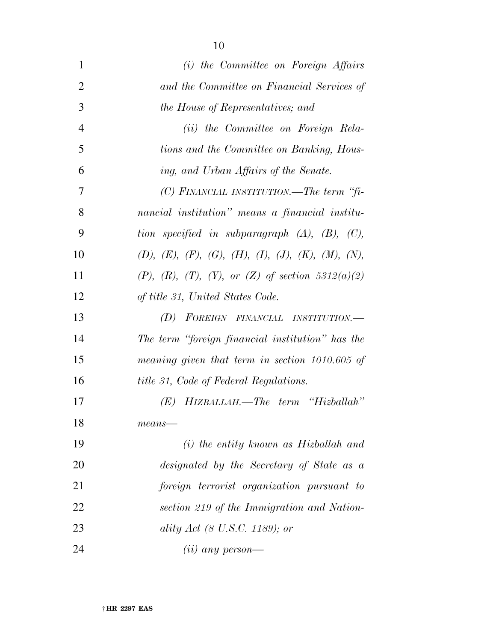| 1              | (i) the Committee on Foreign Affairs                           |
|----------------|----------------------------------------------------------------|
| $\overline{2}$ | and the Committee on Financial Services of                     |
| 3              | the House of Representatives; and                              |
| $\overline{4}$ | ( <i>ii</i> ) the Committee on Foreign Rela-                   |
| 5              | tions and the Committee on Banking, Hous-                      |
| 6              | ing, and Urban Affairs of the Senate.                          |
| $\overline{7}$ | $(C)$ FINANCIAL INSTITUTION.—The term "fi-                     |
| 8              | nancial institution" means a financial institu-                |
| 9              | tion specified in subparagraph $(A)$ , $(B)$ , $(C)$ ,         |
| 10             | $(D), (E), (F), (G), (H), (I), (J), (K), (M), (N),$            |
| 11             | $(P)$ , $(R)$ , $(T)$ , $(Y)$ , or $(Z)$ of section 5312(a)(2) |
| 12             | of title 31, United States Code.                               |
| 13             | FOREIGN FINANCIAL INSTITUTION.—<br>(D)                         |
| 14             | The term "foreign financial institution" has the               |
| 15             | meaning given that term in section 1010.605 of                 |
| 16             | <i>title 31, Code of Federal Regulations.</i>                  |
| 17             | HIZBALLAH.—The term "Hizballah"<br>(E)                         |
| 18             | $means$ —                                                      |
| 19             | $(i)$ the entity known as Hizballah and                        |
| 20             | designated by the Secretary of State as a                      |
| 21             | foreign terrorist organization pursuant to                     |
| 22             | section 219 of the Immigration and Nation-                     |
| 23             | ality Act (8 U.S.C. 1189); or                                  |
| 24             | $(ii)$ any person—                                             |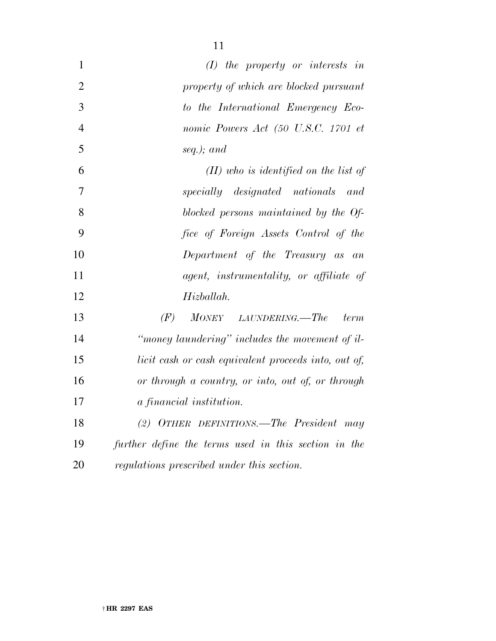| $\mathbf{1}$   | $(I)$ the property or interests in                   |
|----------------|------------------------------------------------------|
| $\overline{2}$ | property of which are blocked pursuant               |
| 3              | to the International Emergency Eco-                  |
| $\overline{4}$ | nomic Powers Act (50 U.S.C. 1701 et                  |
| 5              | seq.); and                                           |
| 6              | $(II)$ who is identified on the list of              |
| $\overline{7}$ | specially designated nationals<br>and                |
| 8              | blocked persons maintained by the Of-                |
| 9              | fice of Foreign Assets Control of the                |
| 10             | Department of the Treasury as an                     |
| 11             | <i>agent, instrumentality, or affiliate of</i>       |
| 12             | Hizballah.                                           |
| 13             | (F)<br><b>MONEY</b><br>LAUNDERING.—The<br>term       |
| 14             | "money laundering" includes the movement of il-      |
| 15             | licit cash or cash equivalent proceeds into, out of, |
| 16             | or through a country, or into, out of, or through    |
| 17             | a financial institution.                             |
| 18             | (2) OTHER DEFINITIONS.—The President may             |
| 19             | further define the terms used in this section in the |
| 20             | regulations prescribed under this section.           |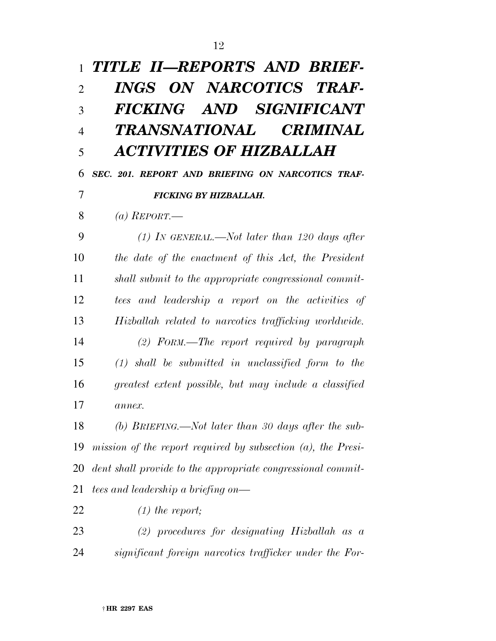| $\mathbf{1}$   | TITLE II-REPORTS AND BRIEF-                                     |
|----------------|-----------------------------------------------------------------|
| $\overline{2}$ | INGS ON NARCOTICS TRAF-                                         |
| 3              | FICKING AND SIGNIFICANT                                         |
| $\overline{4}$ | TRANSNATIONAL<br><b>CRIMINAL</b>                                |
| 5              | ACTIVITIES OF HIZBALLAH                                         |
| 6              | SEC. 201. REPORT AND BRIEFING ON NARCOTICS TRAF-                |
| 7              | <b>FICKING BY HIZBALLAH.</b>                                    |
| 8              | (a) REPORT.—                                                    |
| 9              | $(1)$ IN GENERAL.—Not later than 120 days after                 |
| 10             | the date of the enactment of this Act, the President            |
| 11             | shall submit to the appropriate congressional commit-           |
| 12             | tees and leadership a report on the activities of               |
| 13             | Hizballah related to narcotics trafficking worldwide.           |
| 14             | $(2)$ FORM.—The report required by paragraph                    |
| 15             | $(1)$ shall be submitted in unclassified form to the            |
| 16             | greatest extent possible, but may include a classified          |
| 17             | $a$ <i>nnex</i> .                                               |
| 18             | (b) BRIEFING.—Not later than 30 days after the sub-             |
| 19             | mission of the report required by subsection $(a)$ , the Presi- |
| 20             | dent shall provide to the appropriate congressional commit-     |
| 21             | tees and leadership a briefing on—                              |
| 22             | $(1)$ the report;                                               |
| 23             | $(2)$ procedures for designating Hizballah as a                 |
| 24             | significant foreign narcotics trafficker under the For-         |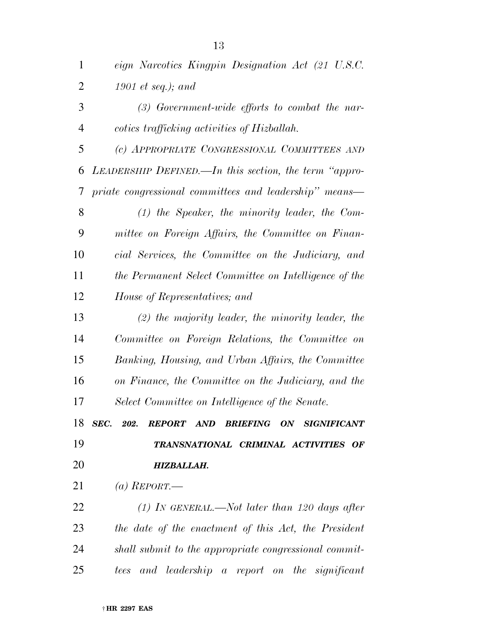| $\mathbf{1}$   | eign Narcotics Kingpin Designation Act (21 U.S.C.      |
|----------------|--------------------------------------------------------|
| $\overline{2}$ | 1901 et seq.); and                                     |
| 3              | $(3)$ Government-wide efforts to combat the nar-       |
| $\overline{4}$ | cotics trafficking activities of Hizballah.            |
| 5              | (c) APPROPRIATE CONGRESSIONAL COMMITTEES AND           |
| 6              | LEADERSHIP DEFINED.—In this section, the term "appro-  |
| 7              | priate congressional committees and leadership" means— |
| 8              | $(1)$ the Speaker, the minority leader, the Com-       |
| 9              | mittee on Foreign Affairs, the Committee on Finan-     |
| 10             | cial Services, the Committee on the Judiciary, and     |
| 11             | the Permanent Select Committee on Intelligence of the  |
| 12             | House of Representatives; and                          |
| 13             | $(2)$ the majority leader, the minority leader, the    |
| 14             | Committee on Foreign Relations, the Committee on       |
| 15             | Banking, Housing, and Urban Affairs, the Committee     |
| 16             | on Finance, the Committee on the Judiciary, and the    |
| 17             | Select Committee on Intelligence of the Senate.        |
| 18             | SEC. 202. REPORT AND BRIEFING ON SIGNIFICANT           |
| 19             | TRANSNATIONAL CRIMINAL ACTIVITIES OF                   |
| 20             | HIZBALLAH.                                             |
| 21             | (a) REPORT.—                                           |
| 22             | (1) In GENERAL.—Not later than 120 days after          |
| 23             | the date of the enactment of this Act, the President   |
| 24             | shall submit to the appropriate congressional commit-  |

*tees and leadership a report on the significant*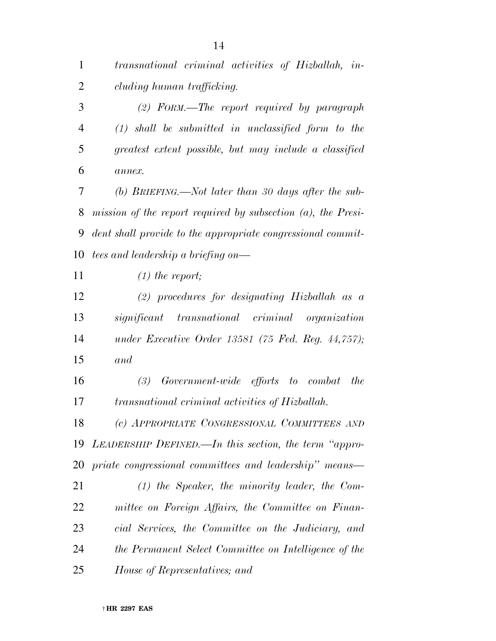| $\mathbf{1}$   | transnational criminal activities of Hizballah, in-             |
|----------------|-----------------------------------------------------------------|
| 2              | cluding human trafficking.                                      |
| 3              | $(2)$ FORM.—The report required by paragraph                    |
| $\overline{4}$ | $(1)$ shall be submitted in unclassified form to the            |
| 5              | greatest extent possible, but may include a classified          |
| 6              | $a$ nne $x$ .                                                   |
| 7              | (b) BRIEFING.—Not later than 30 days after the sub-             |
| 8              | mission of the report required by subsection $(a)$ , the Presi- |
| 9              | dent shall provide to the appropriate congressional commit-     |
| 10             | tees and leadership a briefing on—                              |
| 11             | $(1)$ the report;                                               |
| 12             | $(2)$ procedures for designating Hizballah as a                 |
| 13             | significant transnational criminal organization                 |
| 14             | under Executive Order 13581 (75 Fed. Reg. $44,757$ );           |
| 15             | and                                                             |
| 16             | Government-wide efforts to combat<br>(3)<br>the                 |
| 17             | transnational criminal activities of Hizballah.                 |
| 18             | (c) APPROPRIATE CONGRESSIONAL COMMITTEES AND                    |
| 19             | LEADERSHIP DEFINED.—In this section, the term "appro-           |
| 20             | priate congressional committees and leadership" means—          |
| 21             | $(1)$ the Speaker, the minority leader, the Com-                |
| 22             | mittee on Foreign Affairs, the Committee on Finan-              |
| 23             | cial Services, the Committee on the Judiciary, and              |
| 24             | the Permanent Select Committee on Intelligence of the           |
| 25             | House of Representatives; and                                   |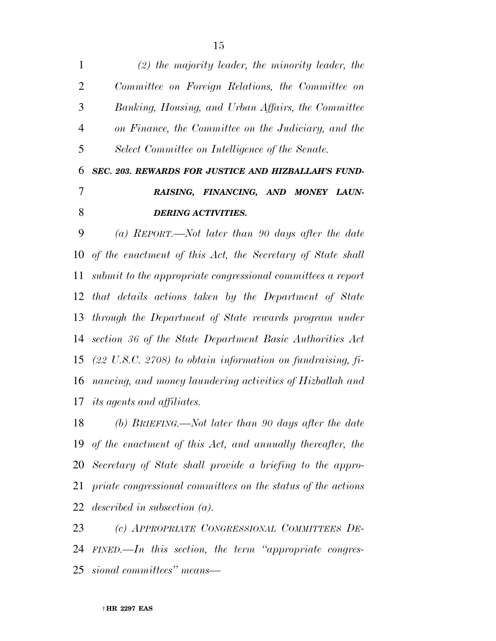*(2) the majority leader, the minority leader, the Committee on Foreign Relations, the Committee on Banking, Housing, and Urban Affairs, the Committee on Finance, the Committee on the Judiciary, and the Select Committee on Intelligence of the Senate.* 

## *SEC. 203. REWARDS FOR JUSTICE AND HIZBALLAH'S FUND- RAISING, FINANCING, AND MONEY LAUN-DERING ACTIVITIES.*

 *(a) REPORT.—Not later than 90 days after the date of the enactment of this Act, the Secretary of State shall submit to the appropriate congressional committees a report that details actions taken by the Department of State through the Department of State rewards program under section 36 of the State Department Basic Authorities Act (22 U.S.C. 2708) to obtain information on fundraising, fi- nancing, and money laundering activities of Hizballah and its agents and affiliates.* 

 *(b) BRIEFING.—Not later than 90 days after the date of the enactment of this Act, and annually thereafter, the Secretary of State shall provide a briefing to the appro- priate congressional committees on the status of the actions described in subsection (a).* 

 *(c) APPROPRIATE CONGRESSIONAL COMMITTEES DE- FINED.—In this section, the term ''appropriate congres-sional committees'' means—*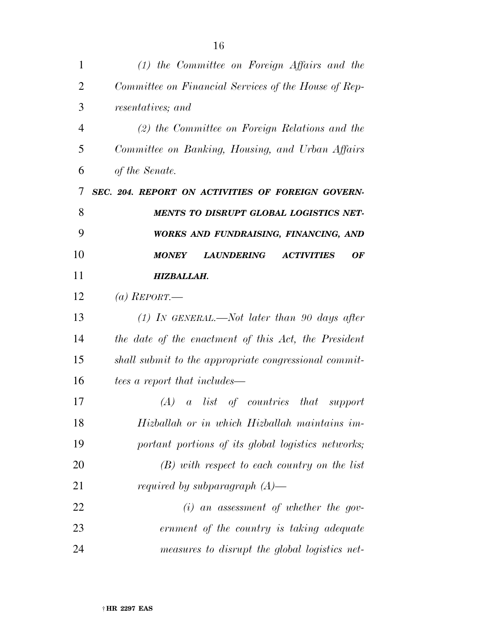| 1              | $(1)$ the Committee on Foreign Affairs and the                      |
|----------------|---------------------------------------------------------------------|
| $\overline{2}$ | Committee on Financial Services of the House of Rep-                |
| 3              | resentatives; and                                                   |
| $\overline{4}$ | $(2)$ the Committee on Foreign Relations and the                    |
| 5              | Committee on Banking, Housing, and Urban Affairs                    |
| 6              | of the Senate.                                                      |
| 7              | SEC. 204. REPORT ON ACTIVITIES OF FOREIGN GOVERN-                   |
| 8              | MENTS TO DISRUPT GLOBAL LOGISTICS NET-                              |
| 9              | WORKS AND FUNDRAISING, FINANCING, AND                               |
| 10             | <b>MONEY</b><br><b>LAUNDERING</b><br><b>ACTIVITIES</b><br><b>OF</b> |
| 11             | HIZBALLAH.                                                          |
| 12             | (a) REPORT.—                                                        |
| 13             | (1) IN GENERAL.—Not later than 90 days after                        |
| 14             | the date of the enactment of this Act, the President                |
| 15             | shall submit to the appropriate congressional commit-               |
| 16             | tees a report that includes—                                        |
| 17             | <i>a</i> list of countries that support<br>(A)                      |
| 18             | Hizballah or in which Hizballah maintains im-                       |
| 19             | portant portions of its global logistics networks;                  |
| 20             | $(B)$ with respect to each country on the list                      |
| 21             | <i>required by subparagraph</i> $(A)$ —                             |
| 22             | $(i)$ an assessment of whether the gov-                             |
| 23             | ernment of the country is taking adequate                           |
| 24             | measures to disrupt the global logistics net-                       |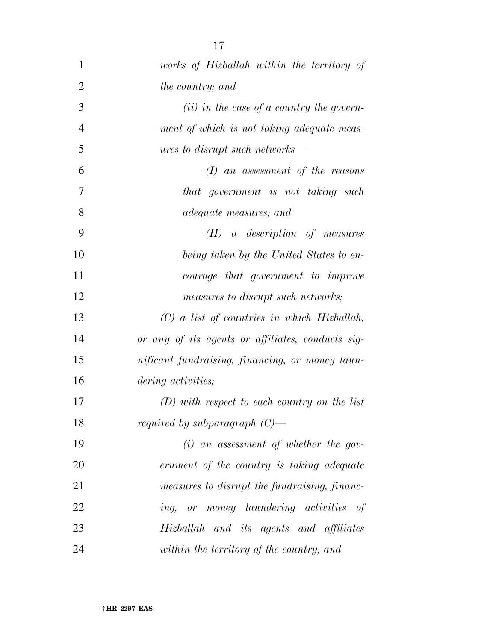| 1              | works of Hizballah within the territory of        |
|----------------|---------------------------------------------------|
| $\overline{2}$ | <i>the country; and</i>                           |
| 3              | $(ii)$ in the case of a country the govern-       |
| $\overline{4}$ | ment of which is not taking adequate meas-        |
| 5              | <i>ures to disrupt such networks—</i>             |
| 6              | $(I)$ an assessment of the reasons                |
| 7              | that government is not taking such                |
| 8              | <i>adequate measures; and</i>                     |
| 9              | $(II)$ a description of measures                  |
| 10             | being taken by the United States to en-           |
| 11             | courage that government to improve                |
| 12             | measures to disrupt such networks;                |
| 13             | $(C)$ a list of countries in which Hizballah,     |
| 14             | or any of its agents or affiliates, conducts sig- |
| 15             | nificant fundraising, financing, or money laun-   |
| 16             | <i>dering activities;</i>                         |
| 17             | $(D)$ with respect to each country on the list    |
| 18             | <i>required by subparagraph</i> $(C)$ —           |
| 19             | $(i)$ an assessment of whether the gov-           |
| 20             | ernment of the country is taking adequate         |
| 21             | measures to disrupt the fundraising, financ-      |
| 22             | ing, or money laundering activities of            |
| 23             | Hizballah and its agents and affiliates           |
| 24             | within the territory of the country; and          |
|                |                                                   |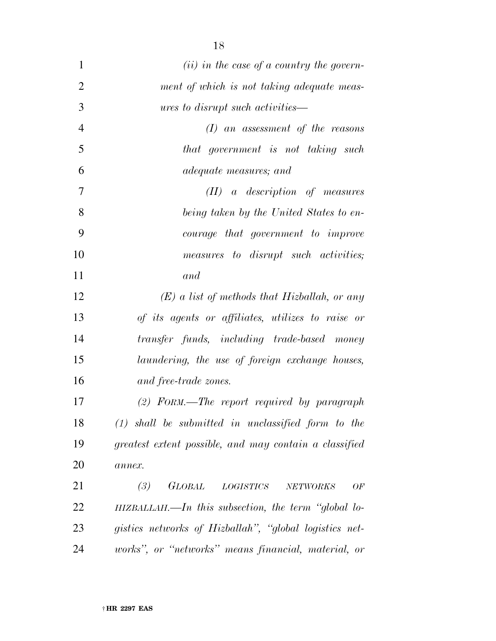| $\mathbf{1}$   | $(ii)$ in the case of a country the govern-                                        |
|----------------|------------------------------------------------------------------------------------|
| $\overline{2}$ | ment of which is not taking adequate meas-                                         |
| 3              | <i>ures to disrupt such activities—</i>                                            |
| $\overline{4}$ | $(I)$ an assessment of the reasons                                                 |
| 5              | that government is not taking such                                                 |
| 6              | <i>adequate measures; and</i>                                                      |
| 7              | $(II)$ a description of measures                                                   |
| 8              | being taken by the United States to en-                                            |
| 9              | <i>courage that government to improve</i>                                          |
| 10             | measures to disrupt such activities;                                               |
| 11             | and                                                                                |
| 12             | $(E)$ a list of methods that Hizballah, or any                                     |
| 13             | of its agents or affiliates, utilizes to raise or                                  |
| 14             | transfer funds, including trade-based money                                        |
| 15             | laundering, the use of foreign exchange houses,                                    |
| 16             | and free-trade zones.                                                              |
| 17             | $(2)$ FORM.—The report required by paragraph                                       |
| 18             | $(1)$ shall be submitted in unclassified form to the                               |
| 19             | greatest extent possible, and may contain a classified                             |
| <b>20</b>      | annex.                                                                             |
| 21             | <b>GLOBAL</b><br>$\label{eq:logISTICS} LOGISTICS$<br>(3)<br>${\it NETWORKS}$<br>OF |
| 22             | $HIZBALLAH$ .—In this subsection, the term "global lo-                             |
| 23             | gistics networks of Hizballah", "global logistics net-                             |
| 24             | works", or "networks" means financial, material, or                                |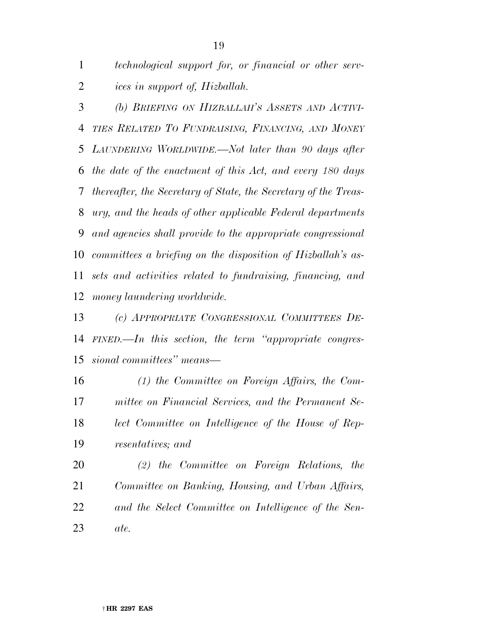*technological support for, or financial or other serv-ices in support of, Hizballah.* 

 *(b) BRIEFING ON HIZBALLAH'S ASSETS AND ACTIVI- TIES RELATED TO FUNDRAISING, FINANCING, AND MONEY LAUNDERING WORLDWIDE.—Not later than 90 days after the date of the enactment of this Act, and every 180 days thereafter, the Secretary of State, the Secretary of the Treas- ury, and the heads of other applicable Federal departments and agencies shall provide to the appropriate congressional committees a briefing on the disposition of Hizballah's as- sets and activities related to fundraising, financing, and money laundering worldwide.* 

 *(c) APPROPRIATE CONGRESSIONAL COMMITTEES DE- FINED.—In this section, the term ''appropriate congres-sional committees'' means—* 

 *(1) the Committee on Foreign Affairs, the Com- mittee on Financial Services, and the Permanent Se- lect Committee on Intelligence of the House of Rep-resentatives; and* 

 *(2) the Committee on Foreign Relations, the Committee on Banking, Housing, and Urban Affairs, and the Select Committee on Intelligence of the Sen-ate.*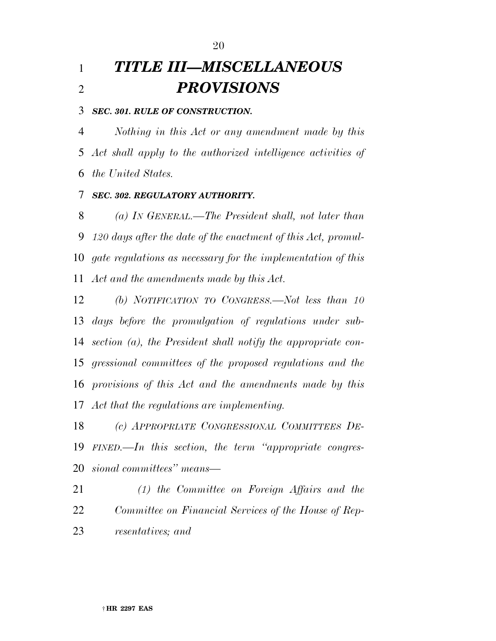# *TITLE III—MISCELLANEOUS PROVISIONS*

### *SEC. 301. RULE OF CONSTRUCTION.*

 *Nothing in this Act or any amendment made by this Act shall apply to the authorized intelligence activities of the United States.* 

### *SEC. 302. REGULATORY AUTHORITY.*

 *(a) IN GENERAL.—The President shall, not later than 120 days after the date of the enactment of this Act, promul- gate regulations as necessary for the implementation of this Act and the amendments made by this Act.* 

 *(b) NOTIFICATION TO CONGRESS.—Not less than 10 days before the promulgation of regulations under sub- section (a), the President shall notify the appropriate con- gressional committees of the proposed regulations and the provisions of this Act and the amendments made by this Act that the regulations are implementing.* 

 *(c) APPROPRIATE CONGRESSIONAL COMMITTEES DE- FINED.—In this section, the term ''appropriate congres-sional committees'' means—* 

 *(1) the Committee on Foreign Affairs and the Committee on Financial Services of the House of Rep-resentatives; and*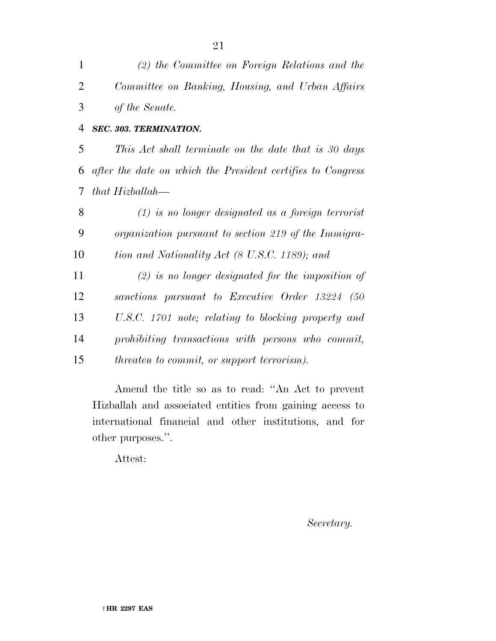| $\mathbf{1}$   | (2) the Committee on Foreign Relations and the              |
|----------------|-------------------------------------------------------------|
| $\overline{2}$ | Committee on Banking, Housing, and Urban Affairs            |
| 3              | of the Senate.                                              |
| 4              | SEC. 303. TERMINATION.                                      |
| 5              | This Act shall terminate on the date that is 30 days        |
| 6              | after the date on which the President certifies to Congress |
| 7              | that Hizballah—                                             |
| 8              | $(1)$ is no longer designated as a foreign terrorist        |
| 9              | organization pursuant to section 219 of the Immigra-        |
| 10             | tion and Nationality Act (8 U.S.C. 1189); and               |
| 11             | $(2)$ is no longer designated for the imposition of         |
| 12             | sanctions pursuant to Executive Order 13224 (50             |
| 13             | U.S.C. 1701 note; relating to blocking property and         |
| 14             | prohibiting transactions with persons who commit,           |
| 15             | <i>threaten to commit, or support terrorism).</i>           |
|                |                                                             |

Amend the title so as to read: ''An Act to prevent Hizballah and associated entities from gaining access to international financial and other institutions, and for other purposes.''.

Attest:

*Secretary.*